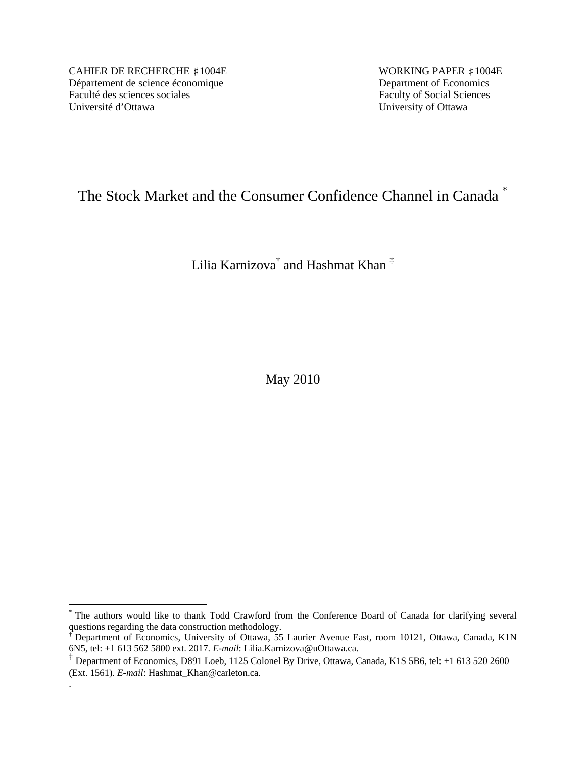CAHIER DE RECHERCHE #1004E WORKING PAPER #1004E Département de science économique<br>
Faculté des sciences sociales<br>
Faculty of Social Sciences Université d'Ottawa University of Ottawa

 $\overline{a}$ 

.

Faculty of Social Sciences

# The Stock Market and the Consumer Confidence Channel in Canada \*

Lilia Karnizova $^\dagger$  and Hashmat Khan  $^\ddag$ 

May 2010

The authors would like to thank Todd Crawford from the Conference Board of Canada for clarifying several questions regarding the data construction methodology.

<sup>†</sup> Department of Economics, University of Ottawa, 55 Laurier Avenue East, room 10121, Ottawa, Canada, K1N 6N5, tel: +1 613 562 5800 ext. 2017. *E-mail*: Lilia.Karnizova@uOttawa.ca.

<sup>&</sup>lt;sup>‡</sup> Department of Economics, D891 Loeb, 1125 Colonel By Drive, Ottawa, Canada, K1S 5B6, tel: +1 613 520 2600 (Ext. 1561). *E-mail*: Hashmat\_Khan@carleton.ca.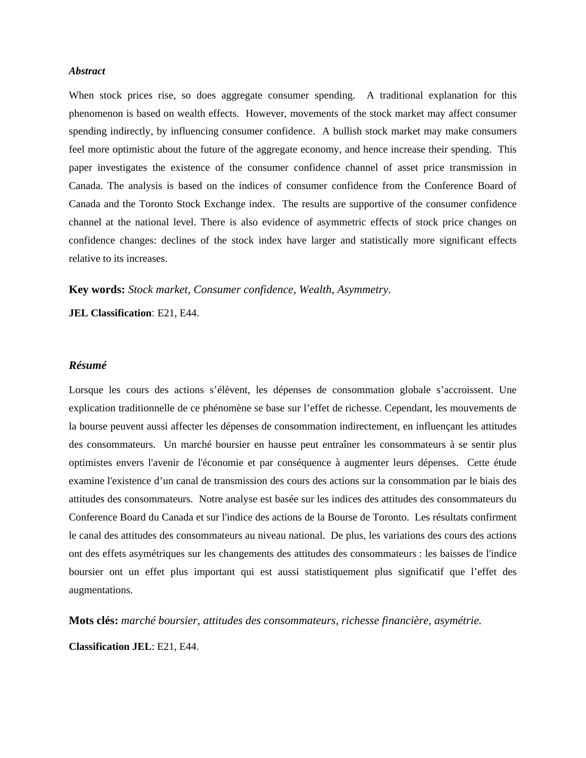#### *Abstract*

When stock prices rise, so does aggregate consumer spending. A traditional explanation for this phenomenon is based on wealth effects. However, movements of the stock market may affect consumer spending indirectly, by influencing consumer confidence. A bullish stock market may make consumers feel more optimistic about the future of the aggregate economy, and hence increase their spending. This paper investigates the existence of the consumer confidence channel of asset price transmission in Canada. The analysis is based on the indices of consumer confidence from the Conference Board of Canada and the Toronto Stock Exchange index. The results are supportive of the consumer confidence channel at the national level. There is also evidence of asymmetric effects of stock price changes on confidence changes: declines of the stock index have larger and statistically more significant effects relative to its increases.

**Key words:** *Stock market, Consumer confidence, Wealth, Asymmetry.*

**JEL Classification**: E21, E44.

### *Résumé*

Lorsque les cours des actions s'élèvent, les dépenses de consommation globale s'accroissent. Une explication traditionnelle de ce phénomène se base sur l'effet de richesse. Cependant, les mouvements de la bourse peuvent aussi affecter les dépenses de consommation indirectement, en influençant les attitudes des consommateurs. Un marché boursier en hausse peut entraîner les consommateurs à se sentir plus optimistes envers l'avenir de l'économie et par conséquence à augmenter leurs dépenses. Cette étude examine l'existence d'un canal de transmission des cours des actions sur la consommation par le biais des attitudes des consommateurs. Notre analyse est basée sur les indices des attitudes des consommateurs du Conference Board du Canada et sur l'indice des actions de la Bourse de Toronto. Les résultats confirment le canal des attitudes des consommateurs au niveau national. De plus, les variations des cours des actions ont des effets asymétriques sur les changements des attitudes des consommateurs : les baisses de l'indice boursier ont un effet plus important qui est aussi statistiquement plus significatif que l'effet des augmentations.

**Mots clés:** *marché boursier, attitudes des consommateurs, richesse financière, asymétrie.* 

**Classification JEL**: E21, E44.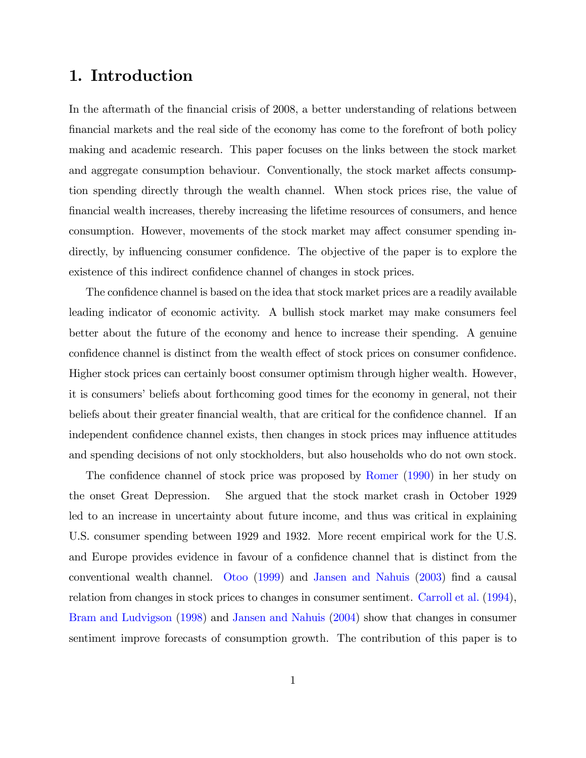## 1. Introduction

In the aftermath of the financial crisis of 2008, a better understanding of relations between Önancial markets and the real side of the economy has come to the forefront of both policy making and academic research. This paper focuses on the links between the stock market and aggregate consumption behaviour. Conventionally, the stock market affects consumption spending directly through the wealth channel. When stock prices rise, the value of Önancial wealth increases, thereby increasing the lifetime resources of consumers, and hence consumption. However, movements of the stock market may affect consumer spending indirectly, by influencing consumer confidence. The objective of the paper is to explore the existence of this indirect confidence channel of changes in stock prices.

The confidence channel is based on the idea that stock market prices are a readily available leading indicator of economic activity. A bullish stock market may make consumers feel better about the future of the economy and hence to increase their spending. A genuine confidence channel is distinct from the wealth effect of stock prices on consumer confidence. Higher stock prices can certainly boost consumer optimism through higher wealth. However, it is consumers' beliefs about forthcoming good times for the economy in general, not their beliefs about their greater financial wealth, that are critical for the confidence channel. If an independent confidence channel exists, then changes in stock prices may influence attitudes and spending decisions of not only stockholders, but also households who do not own stock.

The confidence channel of stock price was proposed by [Romer](#page-12-0) [\(1990\)](#page-12-0) in her study on the onset Great Depression. She argued that the stock market crash in October 1929 led to an increase in uncertainty about future income, and thus was critical in explaining U.S. consumer spending between 1929 and 1932. More recent empirical work for the U.S. and Europe provides evidence in favour of a confidence channel that is distinct from the conventional wealth channel. [Otoo](#page-12-1) [\(1999\)](#page-12-1) and [Jansen and Nahuis](#page-12-2) [\(2003\)](#page-12-2) Önd a causal relation from changes in stock prices to changes in consumer sentiment. [Carroll et al.](#page-12-3) [\(1994\)](#page-12-3), [Bram and Ludvigson](#page-12-4) [\(1998\)](#page-12-4) and [Jansen and Nahuis](#page-12-5) [\(2004\)](#page-12-5) show that changes in consumer sentiment improve forecasts of consumption growth. The contribution of this paper is to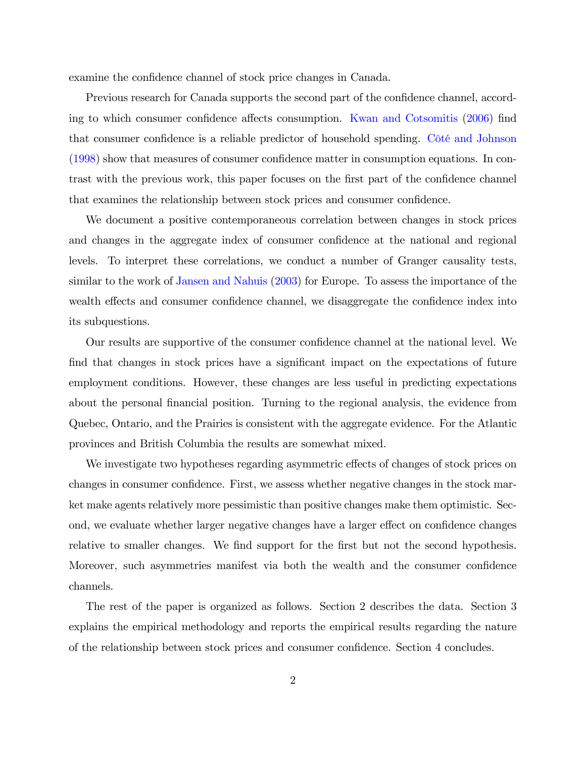examine the confidence channel of stock price changes in Canada.

Previous research for Canada supports the second part of the confidence channel, accord-ing to which consumer confidence affects consumption. [Kwan and Cotsomitis](#page-12-6) [\(2006\)](#page-12-6) find that consumer confidence is a reliable predictor of household spending. Côté and Johnson  $(1998)$  show that measures of consumer confidence matter in consumption equations. In contrast with the previous work, this paper focuses on the first part of the confidence channel that examines the relationship between stock prices and consumer confidence.

We document a positive contemporaneous correlation between changes in stock prices and changes in the aggregate index of consumer confidence at the national and regional levels. To interpret these correlations, we conduct a number of Granger causality tests, similar to the work of [Jansen and Nahuis](#page-12-2) [\(2003\)](#page-12-2) for Europe. To assess the importance of the wealth effects and consumer confidence channel, we disaggregate the confidence index into its subquestions.

Our results are supportive of the consumer confidence channel at the national level. We find that changes in stock prices have a significant impact on the expectations of future employment conditions. However, these changes are less useful in predicting expectations about the personal financial position. Turning to the regional analysis, the evidence from Quebec, Ontario, and the Prairies is consistent with the aggregate evidence. For the Atlantic provinces and British Columbia the results are somewhat mixed.

We investigate two hypotheses regarding asymmetric effects of changes of stock prices on changes in consumer confidence. First, we assess whether negative changes in the stock market make agents relatively more pessimistic than positive changes make them optimistic. Second, we evaluate whether larger negative changes have a larger effect on confidence changes relative to smaller changes. We find support for the first but not the second hypothesis. Moreover, such asymmetries manifest via both the wealth and the consumer confidence channels.

The rest of the paper is organized as follows. Section 2 describes the data. Section 3 explains the empirical methodology and reports the empirical results regarding the nature of the relationship between stock prices and consumer confidence. Section 4 concludes.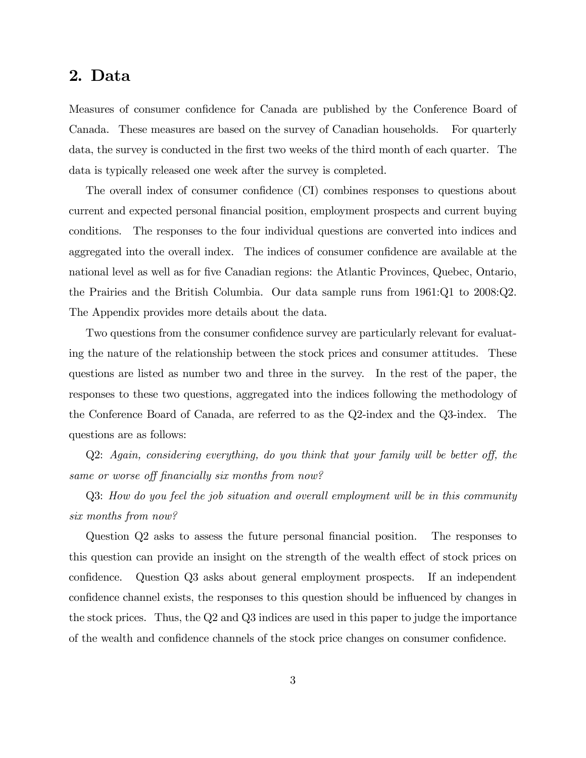## 2. Data

Measures of consumer confidence for Canada are published by the Conference Board of Canada. These measures are based on the survey of Canadian households. For quarterly data, the survey is conducted in the first two weeks of the third month of each quarter. The data is typically released one week after the survey is completed.

The overall index of consumer confidence (CI) combines responses to questions about current and expected personal Önancial position, employment prospects and current buying conditions. The responses to the four individual questions are converted into indices and aggregated into the overall index. The indices of consumer confidence are available at the national level as well as for five Canadian regions: the Atlantic Provinces, Quebec, Ontario, the Prairies and the British Columbia. Our data sample runs from 1961:Q1 to 2008:Q2. The Appendix provides more details about the data.

Two questions from the consumer confidence survey are particularly relevant for evaluating the nature of the relationship between the stock prices and consumer attitudes. These questions are listed as number two and three in the survey. In the rest of the paper, the responses to these two questions, aggregated into the indices following the methodology of the Conference Board of Canada, are referred to as the Q2-index and the Q3-index. The questions are as follows:

 $Q2$ : Again, considering everything, do you think that your family will be better off, the same or worse off financially six months from now?

Q3: How do you feel the job situation and overall employment will be in this community six months from now?

Question Q2 asks to assess the future personal financial position. The responses to this question can provide an insight on the strength of the wealth effect of stock prices on confidence. Question Q3 asks about general employment prospects. If an independent confidence channel exists, the responses to this question should be influenced by changes in the stock prices. Thus, the Q2 and Q3 indices are used in this paper to judge the importance of the wealth and confidence channels of the stock price changes on consumer confidence.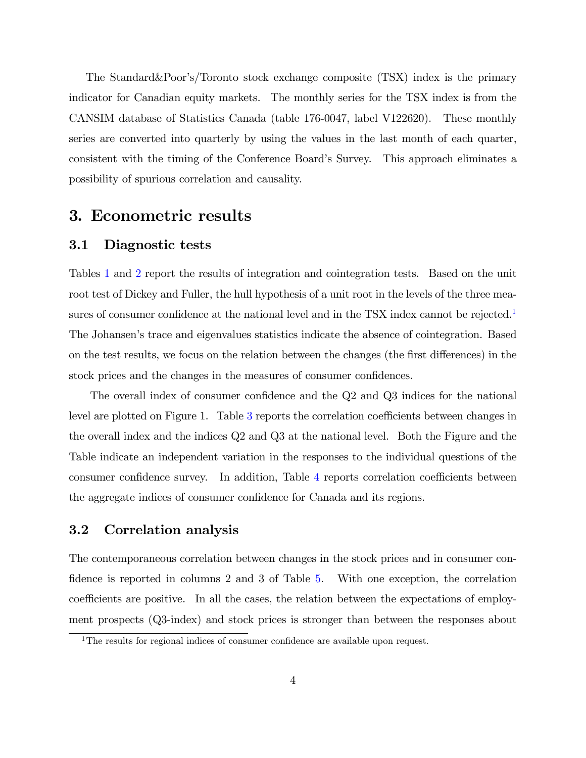The Standard&Poor's/Toronto stock exchange composite (TSX) index is the primary indicator for Canadian equity markets. The monthly series for the TSX index is from the CANSIM database of Statistics Canada (table 176-0047, label V122620). These monthly series are converted into quarterly by using the values in the last month of each quarter, consistent with the timing of the Conference Boardís Survey. This approach eliminates a possibility of spurious correlation and causality.

## 3. Econometric results

#### 3.1 Diagnostic tests

Tables [1](#page-14-0) and [2](#page-14-1) report the results of integration and cointegration tests. Based on the unit root test of Dickey and Fuller, the hull hypothesis of a unit root in the levels of the three mea-sures of consumer confidence at the national level and in the TSX index cannot be rejected.<sup>[1](#page-5-0)</sup> The Johansen's trace and eigenvalues statistics indicate the absence of cointegration. Based on the test results, we focus on the relation between the changes (the first differences) in the stock prices and the changes in the measures of consumer confidences.

The overall index of consumer confidence and the  $Q2$  and  $Q3$  indices for the national level are plotted on Figure 1. Table [3](#page-15-0) reports the correlation coefficients between changes in the overall index and the indices Q2 and Q3 at the national level. Both the Figure and the Table indicate an independent variation in the responses to the individual questions of the consumer confidence survey. In addition, Table [4](#page-15-1) reports correlation coefficients between the aggregate indices of consumer confidence for Canada and its regions.

### 3.2 Correlation analysis

The contemporaneous correlation between changes in the stock prices and in consumer confidence is reported in columns 2 and 3 of Table  $5$ . With one exception, the correlation coefficients are positive. In all the cases, the relation between the expectations of employment prospects (Q3-index) and stock prices is stronger than between the responses about

<span id="page-5-0"></span> $1$ The results for regional indices of consumer confidence are available upon request.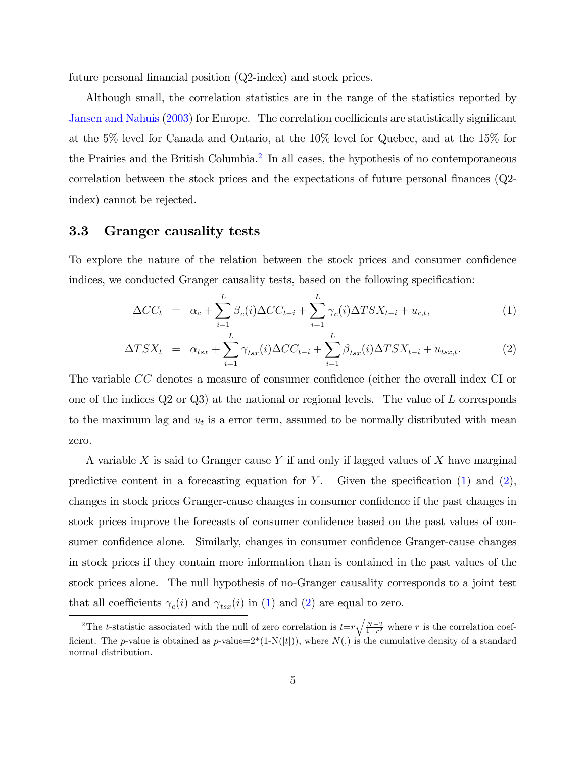future personal financial position  $(Q2$ -index) and stock prices.

Although small, the correlation statistics are in the range of the statistics reported by [Jansen and Nahuis](#page-12-2) [\(2003\)](#page-12-2) for Europe. The correlation coefficients are statistically significant at the 5% level for Canada and Ontario, at the 10% level for Quebec, and at the 15% for the Prairies and the British Columbia.<sup>[2](#page-6-0)</sup> In all cases, the hypothesis of no contemporaneous correlation between the stock prices and the expectations of future personal finances  $(Q2$ index) cannot be rejected.

### 3.3 Granger causality tests

To explore the nature of the relation between the stock prices and consumer confidence indices, we conducted Granger causality tests, based on the following specification:

<span id="page-6-1"></span>
$$
\Delta CC_t = \alpha_c + \sum_{i=1}^{L} \beta_c(i) \Delta CC_{t-i} + \sum_{i=1}^{L} \gamma_c(i) \Delta TSX_{t-i} + u_{c,t}, \qquad (1)
$$

$$
\Delta TSX_t = \alpha_{tsx} + \sum_{i=1}^{L} \gamma_{tsx}(i) \Delta CC_{t-i} + \sum_{i=1}^{L} \beta_{tsx}(i) \Delta TSX_{t-i} + u_{tsx,t}.
$$
 (2)

The variable CC denotes a measure of consumer confidence (either the overall index CI or one of the indices Q2 or Q3) at the national or regional levels. The value of L corresponds to the maximum lag and  $u_t$  is a error term, assumed to be normally distributed with mean zero.

A variable X is said to Granger cause Y if and only if lagged values of X have marginal predictive content in a forecasting equation for Y. Given the specification  $(1)$  and  $(2)$ . changes in stock prices Granger-cause changes in consumer confidence if the past changes in stock prices improve the forecasts of consumer confidence based on the past values of consumer confidence alone. Similarly, changes in consumer confidence Granger-cause changes in stock prices if they contain more information than is contained in the past values of the stock prices alone. The null hypothesis of no-Granger causality corresponds to a joint test that all coefficients  $\gamma_c(i)$  and  $\gamma_{tsx}(i)$  in [\(1\)](#page-6-1) and [\(2\)](#page-6-1) are equal to zero.

<span id="page-6-0"></span><sup>&</sup>lt;sup>2</sup>The t-statistic associated with the null of zero correlation is  $t=r\sqrt{\frac{N-2}{1-r^2}}$  where r is the correlation coefficient. The p-value is obtained as p-value= $2*(1-N(|t|))$ , where  $N(.)$  is the cumulative density of a standard normal distribution.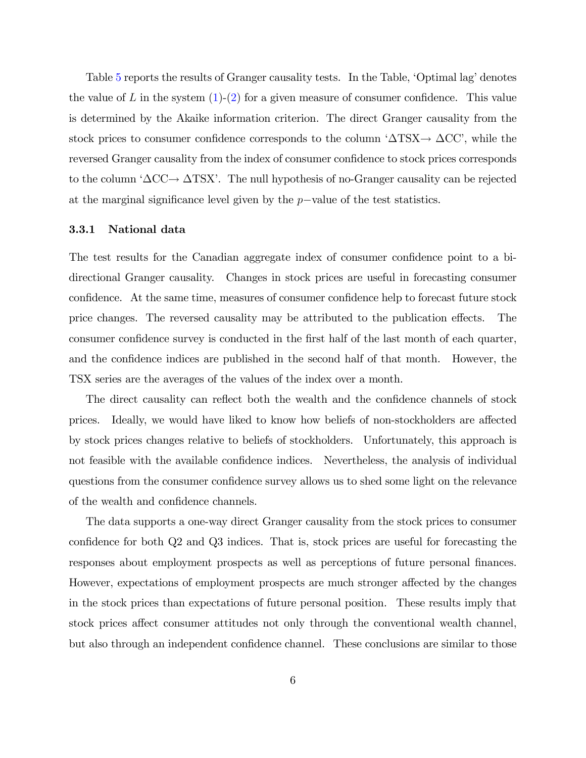Table [5](#page-16-0) reports the results of Granger causality tests. In the Table, 'Optimal lag' denotes the value of L in the system  $(1)-(2)$  $(1)-(2)$  $(1)-(2)$  for a given measure of consumer confidence. This value is determined by the Akaike information criterion. The direct Granger causality from the stock prices to consumer confidence corresponds to the column  $\Delta$ TSX $\rightarrow \Delta$ CC', while the reversed Granger causality from the index of consumer confidence to stock prices corresponds to the column  $\Delta CC \rightarrow \Delta T S X'$ . The null hypothesis of no-Granger causality can be rejected at the marginal significance level given by the  $p$ -value of the test statistics.

#### 3.3.1 National data

The test results for the Canadian aggregate index of consumer confidence point to a bidirectional Granger causality. Changes in stock prices are useful in forecasting consumer confidence. At the same time, measures of consumer confidence help to forecast future stock price changes. The reversed causality may be attributed to the publication effects. The consumer confidence survey is conducted in the first half of the last month of each quarter, and the confidence indices are published in the second half of that month. However, the TSX series are the averages of the values of the index over a month.

The direct causality can reflect both the wealth and the confidence channels of stock prices. Ideally, we would have liked to know how beliefs of non-stockholders are affected by stock prices changes relative to beliefs of stockholders. Unfortunately, this approach is not feasible with the available confidence indices. Nevertheless, the analysis of individual questions from the consumer confidence survey allows us to shed some light on the relevance of the wealth and confidence channels.

The data supports a one-way direct Granger causality from the stock prices to consumer confidence for both  $Q2$  and  $Q3$  indices. That is, stock prices are useful for forecasting the responses about employment prospects as well as perceptions of future personal finances. However, expectations of employment prospects are much stronger affected by the changes in the stock prices than expectations of future personal position. These results imply that stock prices affect consumer attitudes not only through the conventional wealth channel, but also through an independent confidence channel. These conclusions are similar to those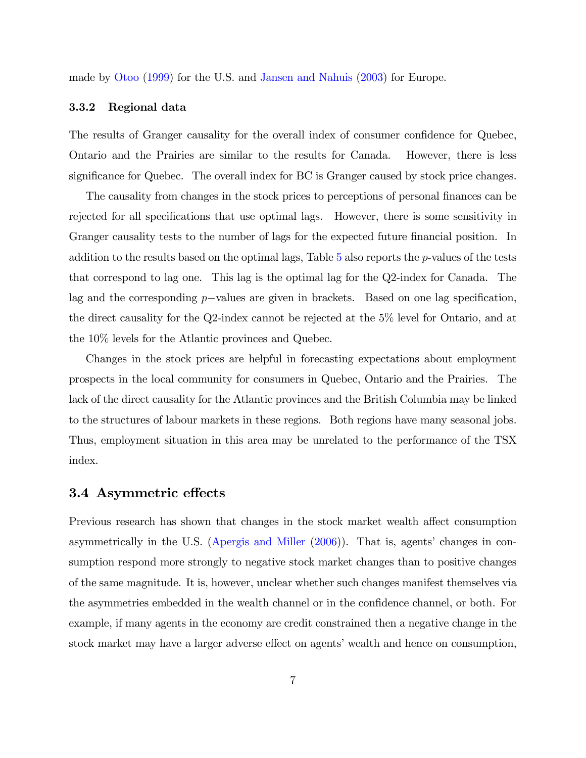made by [Otoo](#page-12-1) [\(1999\)](#page-12-1) for the U.S. and [Jansen and Nahuis](#page-12-2) [\(2003\)](#page-12-2) for Europe.

#### 3.3.2 Regional data

The results of Granger causality for the overall index of consumer confidence for Quebec, Ontario and the Prairies are similar to the results for Canada. However, there is less significance for Quebec. The overall index for BC is Granger caused by stock price changes.

The causality from changes in the stock prices to perceptions of personal finances can be rejected for all specifications that use optimal lags. However, there is some sensitivity in Granger causality tests to the number of lags for the expected future financial position. In addition to the results based on the optimal lags, Table [5](#page-16-0) also reports the p-values of the tests that correspond to lag one. This lag is the optimal lag for the Q2-index for Canada. The lag and the corresponding  $p$ -values are given in brackets. Based on one lag specification, the direct causality for the Q2-index cannot be rejected at the 5% level for Ontario, and at the 10% levels for the Atlantic provinces and Quebec.

Changes in the stock prices are helpful in forecasting expectations about employment prospects in the local community for consumers in Quebec, Ontario and the Prairies. The lack of the direct causality for the Atlantic provinces and the British Columbia may be linked to the structures of labour markets in these regions. Both regions have many seasonal jobs. Thus, employment situation in this area may be unrelated to the performance of the TSX index.

#### 3.4 Asymmetric effects

Previous research has shown that changes in the stock market wealth affect consumption asymmetrically in the U.S. [\(Apergis and Miller](#page-12-8)  $(2006)$ ). That is, agents' changes in consumption respond more strongly to negative stock market changes than to positive changes of the same magnitude. It is, however, unclear whether such changes manifest themselves via the asymmetries embedded in the wealth channel or in the confidence channel, or both. For example, if many agents in the economy are credit constrained then a negative change in the stock market may have a larger adverse effect on agents' wealth and hence on consumption,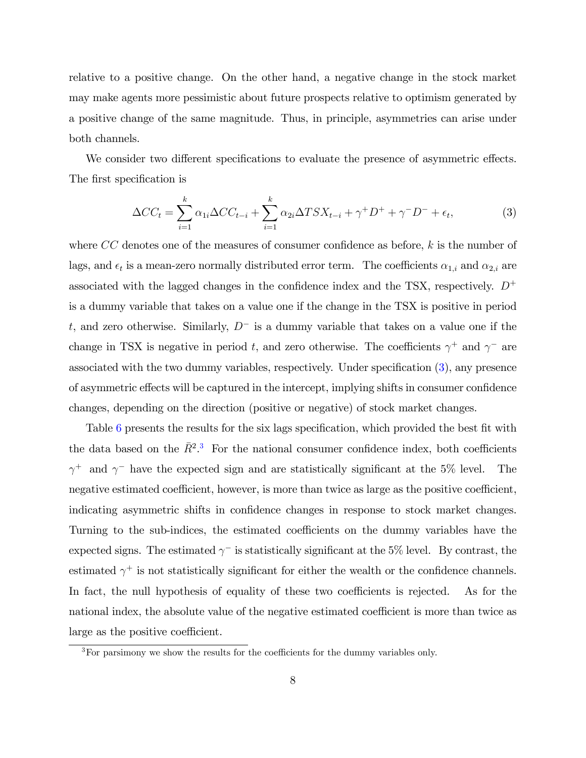relative to a positive change. On the other hand, a negative change in the stock market may make agents more pessimistic about future prospects relative to optimism generated by a positive change of the same magnitude. Thus, in principle, asymmetries can arise under both channels.

We consider two different specifications to evaluate the presence of asymmetric effects. The first specification is

<span id="page-9-0"></span>
$$
\Delta CC_t = \sum_{i=1}^k \alpha_{1i} \Delta CC_{t-i} + \sum_{i=1}^k \alpha_{2i} \Delta TSX_{t-i} + \gamma^+ D^+ + \gamma^- D^- + \epsilon_t,
$$
\n(3)

where  $CC$  denotes one of the measures of consumer confidence as before, k is the number of lags, and  $\epsilon_t$  is a mean-zero normally distributed error term. The coefficients  $\alpha_{1,i}$  and  $\alpha_{2,i}$  are associated with the lagged changes in the confidence index and the TSX, respectively.  $D^+$ is a dummy variable that takes on a value one if the change in the TSX is positive in period t, and zero otherwise. Similarly,  $D^-$  is a dummy variable that takes on a value one if the change in TSX is negative in period t, and zero otherwise. The coefficients  $\gamma^+$  and  $\gamma^-$  are associated with the two dummy variables, respectively. Under specification  $(3)$ , any presence of asymmetric effects will be captured in the intercept, implying shifts in consumer confidence changes, depending on the direction (positive or negative) of stock market changes.

Table [6](#page-17-0) presents the results for the six lags specification, which provided the best fit with the data based on the  $\bar{R}^2$ .<sup>[3](#page-9-1)</sup> For the national consumer confidence index, both coefficients  $\gamma^+$  and  $\gamma^-$  have the expected sign and are statistically significant at the 5% level. The negative estimated coefficient, however, is more than twice as large as the positive coefficient, indicating asymmetric shifts in confidence changes in response to stock market changes. Turning to the sub-indices, the estimated coefficients on the dummy variables have the expected signs. The estimated  $\gamma$ <sup>-</sup> is statistically significant at the 5% level. By contrast, the estimated  $\gamma^+$  is not statistically significant for either the wealth or the confidence channels. In fact, the null hypothesis of equality of these two coefficients is rejected. As for the national index, the absolute value of the negative estimated coefficient is more than twice as large as the positive coefficient.

<span id="page-9-1"></span> $3$ For parsimony we show the results for the coefficients for the dummy variables only.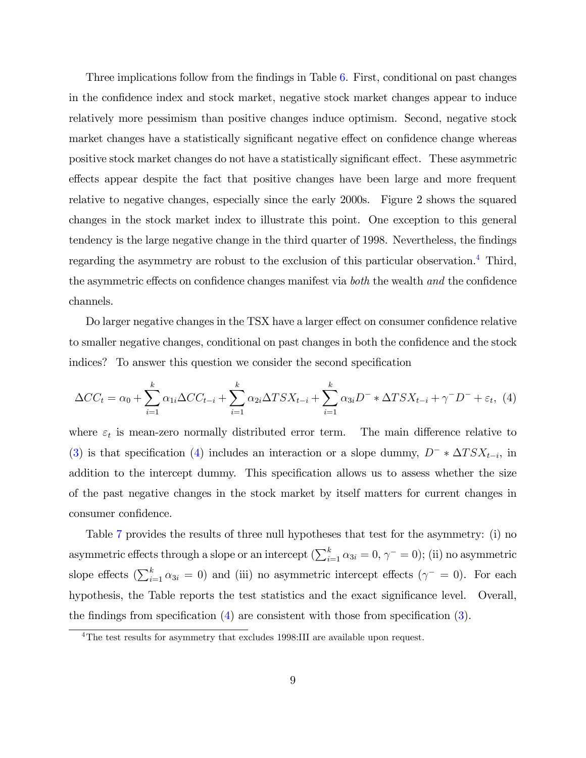Three implications follow from the findings in Table [6.](#page-17-0) First, conditional on past changes in the confidence index and stock market, negative stock market changes appear to induce relatively more pessimism than positive changes induce optimism. Second, negative stock market changes have a statistically significant negative effect on confidence change whereas positive stock market changes do not have a statistically significant effect. These asymmetric effects appear despite the fact that positive changes have been large and more frequent relative to negative changes, especially since the early 2000s. Figure 2 shows the squared changes in the stock market index to illustrate this point. One exception to this general tendency is the large negative change in the third quarter of 1998. Nevertheless, the findings regarding the asymmetry are robust to the exclusion of this particular observation.[4](#page-10-0) Third, the asymmetric effects on confidence changes manifest via  $both$  the wealth and the confidence channels.

Do larger negative changes in the TSX have a larger effect on consumer confidence relative to smaller negative changes, conditional on past changes in both the confidence and the stock indices? To answer this question we consider the second specification

<span id="page-10-1"></span>
$$
\Delta CC_t = \alpha_0 + \sum_{i=1}^k \alpha_{1i} \Delta CC_{t-i} + \sum_{i=1}^k \alpha_{2i} \Delta TSX_{t-i} + \sum_{i=1}^k \alpha_{3i} D^{-} * \Delta TSX_{t-i} + \gamma^{-} D^{-} + \varepsilon_t, \tag{4}
$$

where  $\varepsilon_t$  is mean-zero normally distributed error term. The main difference relative to [\(3\)](#page-9-0) is that specification [\(4\)](#page-10-1) includes an interaction or a slope dummy,  $D^{-} * \Delta T S X_{t-i}$ , in addition to the intercept dummy. This specification allows us to assess whether the size of the past negative changes in the stock market by itself matters for current changes in consumer confidence.

Table [7](#page-17-1) provides the results of three null hypotheses that test for the asymmetry: (i) no asymmetric effects through a slope or an intercept  $(\sum_{i=1}^{k} \alpha_{3i} = 0, \gamma^{-} = 0)$ ; (ii) no asymmetric slope effects  $(\sum_{i=1}^{k} \alpha_{3i} = 0)$  and (iii) no asymmetric intercept effects  $(\gamma^{-} = 0)$ . For each hypothesis, the Table reports the test statistics and the exact significance level. Overall, the findings from specification  $(4)$  are consistent with those from specification  $(3)$ .

<span id="page-10-0"></span><sup>&</sup>lt;sup>4</sup>The test results for asymmetry that excludes 1998:III are available upon request.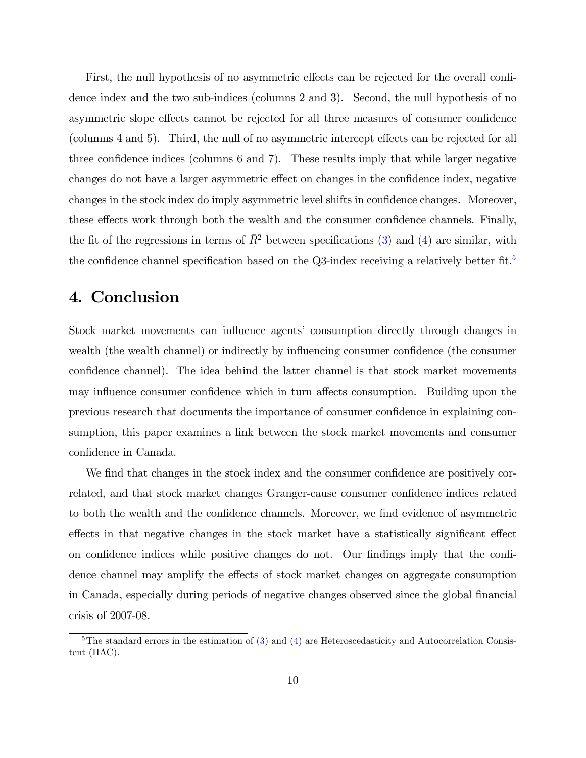First, the null hypothesis of no asymmetric effects can be rejected for the overall confidence index and the two sub-indices (columns 2 and 3). Second, the null hypothesis of no asymmetric slope effects cannot be rejected for all three measures of consumer confidence (columns 4 and 5). Third, the null of no asymmetric intercept effects can be rejected for all three confidence indices (columns  $6$  and  $7$ ). These results imply that while larger negative changes do not have a larger asymmetric effect on changes in the confidence index, negative changes in the stock index do imply asymmetric level shifts in confidence changes. Moreover, these effects work through both the wealth and the consumer confidence channels. Finally, the fit of the regressions in terms of  $\bar{R}^2$  between specifications [\(3\)](#page-9-0) and [\(4\)](#page-10-1) are similar, with the confidence channel specification based on the Q3-index receiving a relatively better fit.<sup>[5](#page-11-0)</sup>

# 4. Conclusion

Stock market movements can influence agents' consumption directly through changes in wealth (the wealth channel) or indirectly by influencing consumer confidence (the consumer confidence channel). The idea behind the latter channel is that stock market movements may influence consumer confidence which in turn affects consumption. Building upon the previous research that documents the importance of consumer conÖdence in explaining consumption, this paper examines a link between the stock market movements and consumer confidence in Canada.

We find that changes in the stock index and the consumer confidence are positively correlated, and that stock market changes Granger-cause consumer confidence indices related to both the wealth and the confidence channels. Moreover, we find evidence of asymmetric effects in that negative changes in the stock market have a statistically significant effect on confidence indices while positive changes do not. Our findings imply that the confidence channel may amplify the effects of stock market changes on aggregate consumption in Canada, especially during periods of negative changes observed since the global Önancial crisis of 2007-08.

<span id="page-11-0"></span> $5$ The standard errors in the estimation of [\(3\)](#page-9-0) and [\(4\)](#page-10-1) are Heteroscedasticity and Autocorrelation Consistent (HAC).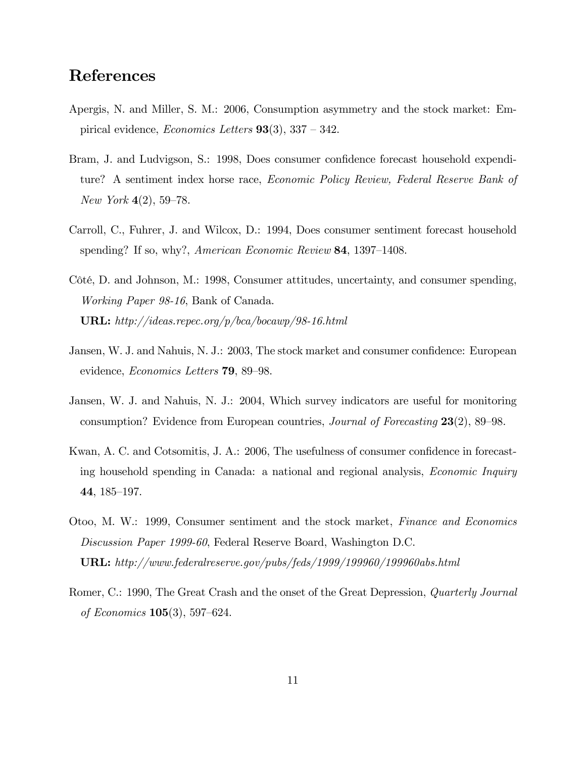## References

- <span id="page-12-8"></span>Apergis, N. and Miller, S. M.: 2006, Consumption asymmetry and the stock market: Empirical evidence, *Economics Letters*  $93(3)$ ,  $337 - 342$ .
- <span id="page-12-4"></span>Bram, J. and Ludvigson, S.: 1998, Does consumer confidence forecast household expenditure? A sentiment index horse race, Economic Policy Review, Federal Reserve Bank of New York  $4(2)$ , 59–78.
- <span id="page-12-3"></span>Carroll, C., Fuhrer, J. and Wilcox, D.: 1994, Does consumer sentiment forecast household spending? If so, why?, American Economic Review  $84$ , 1397–1408.
- <span id="page-12-7"></span>Côté, D. and Johnson, M.: 1998, Consumer attitudes, uncertainty, and consumer spending, Working Paper 98-16, Bank of Canada. URL: http://ideas.repec.org/p/bca/bocawp/98-16.html
- <span id="page-12-2"></span>Jansen, W. J. and Nahuis, N. J.: 2003, The stock market and consumer confidence: European evidence, *Economics Letters* **79**, 89–98.
- <span id="page-12-5"></span>Jansen, W. J. and Nahuis, N. J.: 2004, Which survey indicators are useful for monitoring consumption? Evidence from European countries, *Journal of Forecasting*  $23(2)$ , 89–98.
- <span id="page-12-6"></span>Kwan, A. C. and Cotsomitis, J. A.: 2006, The usefulness of consumer confidence in forecasting household spending in Canada: a national and regional analysis, Economic Inquiry 44, 185–197.
- <span id="page-12-1"></span>Otoo, M. W.: 1999, Consumer sentiment and the stock market, Finance and Economics Discussion Paper 1999-60, Federal Reserve Board, Washington D.C. URL: http://www.federalreserve.gov/pubs/feds/1999/199960/199960abs.html
- <span id="page-12-0"></span>Romer, C.: 1990, The Great Crash and the onset of the Great Depression, Quarterly Journal of Economics  $105(3)$ , 597–624.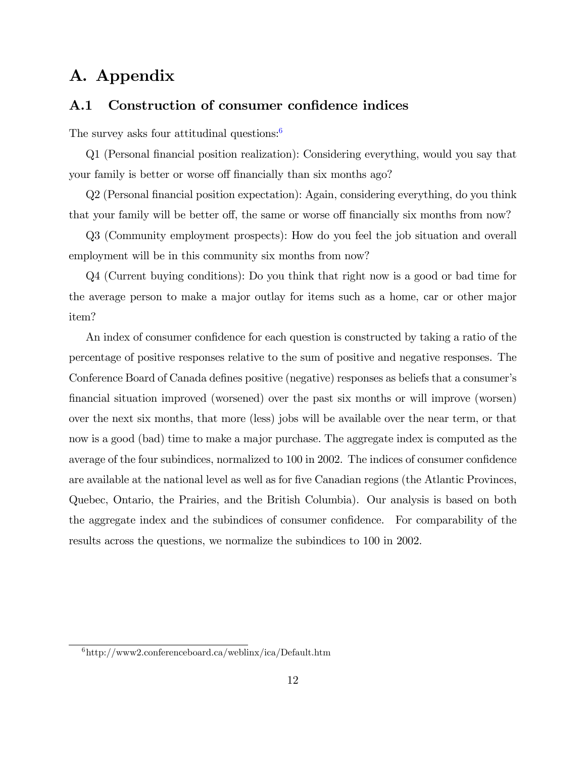# A. Appendix

### A.1 Construction of consumer confidence indices

The survey asks four attitudinal questions:<sup>[6](#page-13-0)</sup>

Q1 (Personal Önancial position realization): Considering everything, would you say that your family is better or worse off financially than six months ago?

Q2 (Personal Önancial position expectation): Again, considering everything, do you think that your family will be better off, the same or worse off financially six months from now?

Q3 (Community employment prospects): How do you feel the job situation and overall employment will be in this community six months from now?

Q4 (Current buying conditions): Do you think that right now is a good or bad time for the average person to make a major outlay for items such as a home, car or other major item?

An index of consumer confidence for each question is constructed by taking a ratio of the percentage of positive responses relative to the sum of positive and negative responses. The Conference Board of Canada defines positive (negative) responses as beliefs that a consumer's Önancial situation improved (worsened) over the past six months or will improve (worsen) over the next six months, that more (less) jobs will be available over the near term, or that now is a good (bad) time to make a major purchase. The aggregate index is computed as the average of the four subindices, normalized to 100 in 2002. The indices of consumer confidence are available at the national level as well as for five Canadian regions (the Atlantic Provinces, Quebec, Ontario, the Prairies, and the British Columbia). Our analysis is based on both the aggregate index and the subindices of consumer confidence. For comparability of the results across the questions, we normalize the subindices to 100 in 2002.

<span id="page-13-0"></span> $^6$ http://www2.conferenceboard.ca/weblinx/ica/Default.htm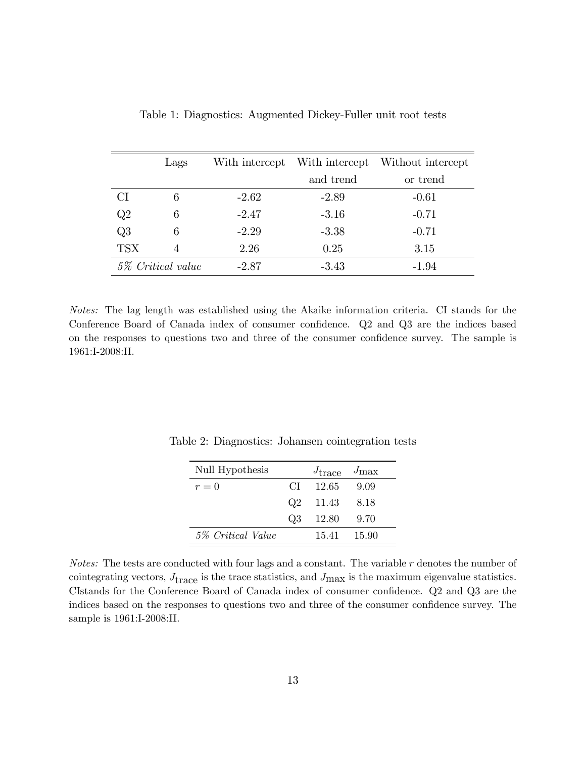|                   | Lags |         |           | With intercept With intercept Without intercept |
|-------------------|------|---------|-----------|-------------------------------------------------|
|                   |      |         | and trend | or trend                                        |
| C <sub>I</sub>    | 6    | $-2.62$ | $-2.89$   | $-0.61$                                         |
| Q2                |      | $-2.47$ | $-3.16$   | $-0.71$                                         |
| Q3                |      | $-2.29$ | $-3.38$   | $-0.71$                                         |
| <b>TSX</b>        |      | 2.26    | 0.25      | 3.15                                            |
| 5% Critical value |      | $-2.87$ | $-3.43$   | -1.94                                           |

<span id="page-14-0"></span>Table 1: Diagnostics: Augmented Dickey-Fuller unit root tests

Notes: The lag length was established using the Akaike information criteria. CI stands for the Conference Board of Canada index of consumer confidence. Q2 and Q3 are the indices based on the responses to questions two and three of the consumer confidence survey. The sample is 1961:I-2008:II.

<span id="page-14-1"></span>

| Null Hypothesis   |                | $J_{\text{trace}}$ | $J_{\rm max}$ |
|-------------------|----------------|--------------------|---------------|
| $r=0$             | CT.            | 12.65              | -9.09         |
|                   | O <sub>2</sub> | 11.43              | 8.18          |
|                   | Q3             | 12.80              | 9.70          |
| 5% Critical Value |                | 15.41 15.90        |               |

Table 2: Diagnostics: Johansen cointegration tests

*Notes:* The tests are conducted with four lags and a constant. The variable  $r$  denotes the number of cointegrating vectors,  $J_{\text{trace}}$  is the trace statistics, and  $J_{\text{max}}$  is the maximum eigenvalue statistics. CIstands for the Conference Board of Canada index of consumer confidence. Q2 and Q3 are the indices based on the responses to questions two and three of the consumer confidence survey. The sample is 1961:I-2008:II.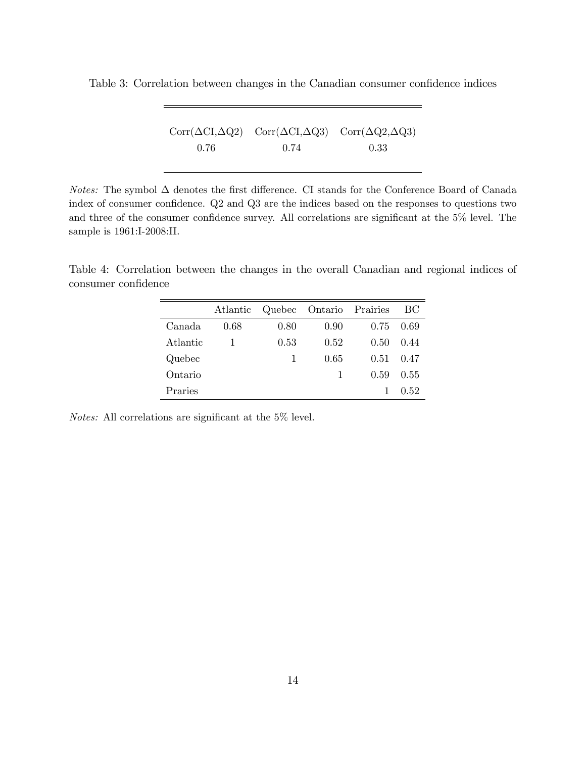<span id="page-15-0"></span>Table 3: Correlation between changes in the Canadian consumer confidence indices

|      | $Corr(\Delta CI, \Delta Q2)$ $Corr(\Delta CI, \Delta Q3)$ $Corr(\Delta Q2, \Delta Q3)$ |      |
|------|----------------------------------------------------------------------------------------|------|
| 0.76 | 0.74                                                                                   | 0.33 |

Notes: The symbol  $\Delta$  denotes the first difference. CI stands for the Conference Board of Canada index of consumer confidence. Q2 and Q3 are the indices based on the responses to questions two and three of the consumer confidence survey. All correlations are significant at the  $5\%$  level. The sample is 1961:I-2008:II.

<span id="page-15-1"></span>Table 4: Correlation between the changes in the overall Canadian and regional indices of consumer confidence

|          | Atlantic |      | Quebec Ontario Prairies |      | ВC   |
|----------|----------|------|-------------------------|------|------|
| Canada   | 0.68     | 0.80 | 0.90                    | 0.75 | 0.69 |
| Atlantic |          | 0.53 | 0.52                    | 0.50 | 0.44 |
| Quebec   |          | 1    | 0.65                    | 0.51 | 0.47 |
| Ontario  |          |      | 1                       | 0.59 | 0.55 |
| Praries  |          |      |                         |      | 0.52 |

Notes: All correlations are significant at the  $5\%$  level.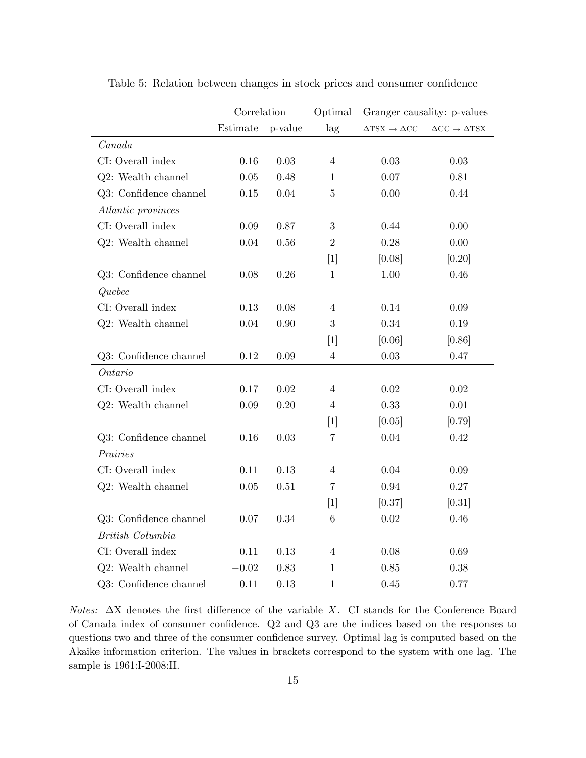|                        | Correlation |         | Optimal           |                                             | Granger causality: p-values                      |
|------------------------|-------------|---------|-------------------|---------------------------------------------|--------------------------------------------------|
|                        | Estimate    | p-value | lag               | $\Delta{\rm TSX}\rightarrow \Delta{\rm CC}$ | $\Delta \text{CC} \rightarrow \Delta \text{TSX}$ |
| Canada                 |             |         |                   |                                             |                                                  |
| CI: Overall index      | 0.16        | 0.03    | $\overline{4}$    | 0.03                                        | 0.03                                             |
| Q2: Wealth channel     | 0.05        | 0.48    | 1                 | 0.07                                        | 0.81                                             |
| Q3: Confidence channel | 0.15        | 0.04    | $\bf 5$           | 0.00                                        | 0.44                                             |
| Atlantic provinces     |             |         |                   |                                             |                                                  |
| CI: Overall index      | 0.09        | 0.87    | 3                 | 0.44                                        | 0.00                                             |
| Q2: Wealth channel     | 0.04        | 0.56    | $\overline{2}$    | 0.28                                        | 0.00                                             |
|                        |             |         | $\lceil 1 \rceil$ | [0.08]                                      | [0.20]                                           |
| Q3: Confidence channel | 0.08        | 0.26    | $\mathbf{1}$      | 1.00                                        | 0.46                                             |
| Quebec                 |             |         |                   |                                             |                                                  |
| CI: Overall index      | 0.13        | 0.08    | 4                 | 0.14                                        | 0.09                                             |
| Q2: Wealth channel     | 0.04        | 0.90    | 3                 | 0.34                                        | 0.19                                             |
|                        |             |         | $\lceil 1 \rceil$ | [0.06]                                      | [0.86]                                           |
| Q3: Confidence channel | 0.12        | 0.09    | $\overline{4}$    | 0.03                                        | 0.47                                             |
| Ontario                |             |         |                   |                                             |                                                  |
| CI: Overall index      | 0.17        | 0.02    | 4                 | 0.02                                        | 0.02                                             |
| Q2: Wealth channel     | 0.09        | 0.20    | 4                 | 0.33                                        | 0.01                                             |
|                        |             |         | $\lceil 1 \rceil$ | [0.05]                                      | [0.79]                                           |
| Q3: Confidence channel | 0.16        | 0.03    | $\,7$             | 0.04                                        | 0.42                                             |
| Prairies               |             |         |                   |                                             |                                                  |
| CI: Overall index      | 0.11        | 0.13    | $\overline{4}$    | 0.04                                        | 0.09                                             |
| Q2: Wealth channel     | 0.05        | 0.51    | 7                 | 0.94                                        | 0.27                                             |
|                        |             |         | $[1]$             | [0.37]                                      | [0.31]                                           |
| Q3: Confidence channel | 0.07        | 0.34    | $\,6$             | $0.02\,$                                    | 0.46                                             |
| British Columbia       |             |         |                   |                                             |                                                  |
| CI: Overall index      | 0.11        | 0.13    | $\overline{4}$    | 0.08                                        | 0.69                                             |
| Q2: Wealth channel     | $-0.02$     | 0.83    | 1                 | 0.85                                        | 0.38                                             |
| Q3: Confidence channel | 0.11        | 0.13    | $\mathbf{1}$      | 0.45                                        | 0.77                                             |

<span id="page-16-0"></span>Table 5: Relation between changes in stock prices and consumer confidence

Notes:  $\Delta X$  denotes the first difference of the variable X. CI stands for the Conference Board of Canada index of consumer confidence. Q2 and Q3 are the indices based on the responses to questions two and three of the consumer confidence survey. Optimal lag is computed based on the Akaike information criterion. The values in brackets correspond to the system with one lag. The sample is 1961:I-2008:II.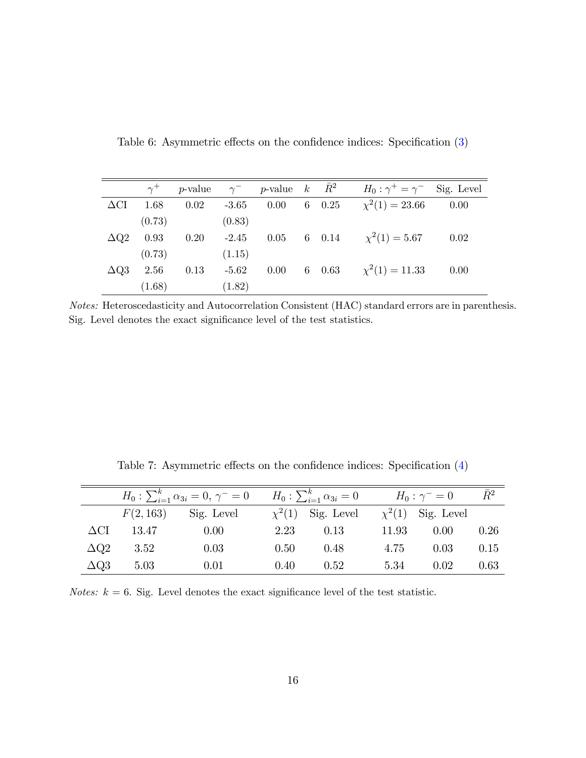<span id="page-17-0"></span>Table 6: Asymmetric effects on the confidence indices: Specification  $(3)$ 

|                    |        | $\gamma^+$ p-value $\gamma^-$ p-value $k \overline{R}^2$ |              |      |  | $H_0: \gamma^+ = \gamma^-$ Sig. Level |      |
|--------------------|--------|----------------------------------------------------------|--------------|------|--|---------------------------------------|------|
| $\Delta \text{CI}$ | 1.68   | 0.02                                                     | $-3.65$      | 0.00 |  | 6 0.25 $\chi^2(1) = 23.66$ 0.00       |      |
|                    | (0.73) |                                                          | (0.83)       |      |  |                                       |      |
| $\Delta Q2$        | 0.93   | 0.20                                                     | $-2.45$ 0.05 |      |  | 6 0.14 $\chi^2(1) = 5.67$ 0.02        |      |
|                    | (0.73) |                                                          | (1.15)       |      |  |                                       |      |
| $\Delta Q3$        | 2.56   | 0.13                                                     | $-5.62$      | 0.00 |  | 6 0.63 $\chi^2(1) = 11.33$            | 0.00 |
|                    | (1.68) |                                                          | (1.82)       |      |  |                                       |      |

Notes: Heteroscedasticity and Autocorrelation Consistent (HAC) standard errors are in parenthesis. Sig. Level denotes the exact significance level of the test statistics.

|                    | $H_0: \sum_{i=1}^k \alpha_{3i} = 0, \ \gamma^{-} = 0$ |            |      | $H_0: \sum_{i=1}^k \alpha_{3i} = 0$           | $H_0: \gamma^- = 0$ | $\bar{R}^2$ |      |
|--------------------|-------------------------------------------------------|------------|------|-----------------------------------------------|---------------------|-------------|------|
|                    | F(2, 163)                                             | Sig. Level |      | $\chi^2(1)$ Sig. Level $\chi^2(1)$ Sig. Level |                     |             |      |
| $\Delta \text{CI}$ | 13.47                                                 | 0.00       | 2.23 | 0.13                                          | 11.93               | 0.00        | 0.26 |
| $\Delta Q2$        | 3.52                                                  | 0.03       | 0.50 | 0.48                                          | 4.75                | 0.03        | 0.15 |
| $\Delta Q3$        | 5.03                                                  | 0.01       | 0.40 | 0.52                                          | 5.34                | 0.02        | 0.63 |

<span id="page-17-1"></span>Table 7: Asymmetric effects on the confidence indices: Specification  $(4)$ 

Notes:  $k = 6$ . Sig. Level denotes the exact significance level of the test statistic.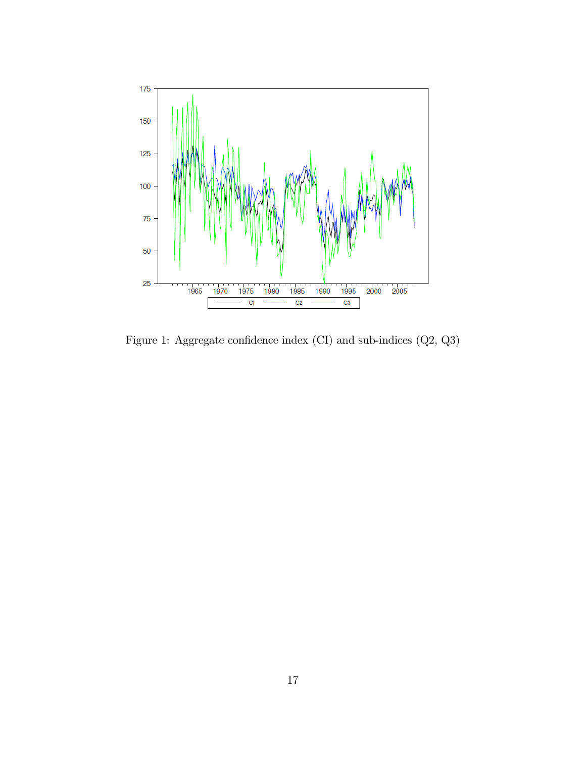

Figure 1: Aggregate confidence index  $(CI)$  and sub-indices  $(Q2, Q3)$